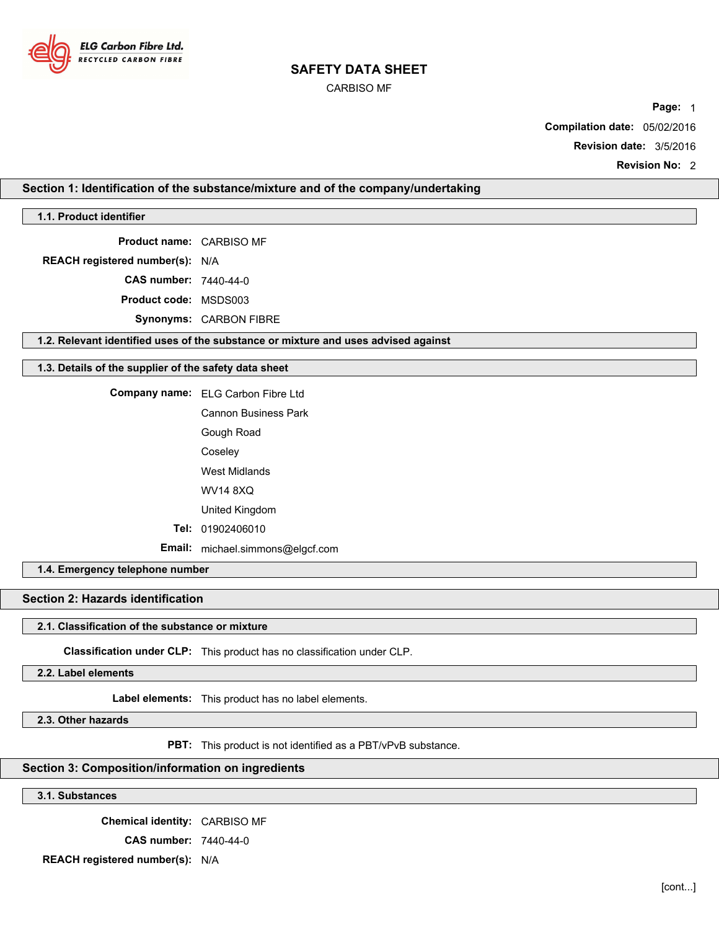

CARBISO MF

**Page:** 1 **Compilation date:** 05/02/2016 **Revision date:** 3/5/2016

**Revision No:** 2

## **Section 1: Identification of the substance/mixture and of the company/undertaking**

**1.1. Product identifier**

**Product name:** CARBISO MF

**REACH registered number(s):** N/A

**CAS number:** 7440-44-0

**Product code:** MSDS003

**Synonyms:** CARBON FIBRE

**1.2. Relevant identified uses of the substance or mixture and uses advised against**

#### **1.3. Details of the supplier of the safety data sheet**

**Company name:** ELG Carbon Fibre Ltd

Cannon Business Park Gough Road Coseley West Midlands WV14 8XQ United Kingdom

**Tel:** 01902406010

**Email:** michael.simmons@elgcf.com

**1.4. Emergency telephone number**

**Section 2: Hazards identification**

### **2.1. Classification of the substance or mixture**

**Classification under CLP:** This product has no classification under CLP.

**2.2. Label elements**

**Label elements:** This product has no label elements.

**2.3. Other hazards**

**PBT:** This product is not identified as a PBT/vPvB substance.

## **Section 3: Composition/information on ingredients**

**3.1. Substances**

**Chemical identity:** CARBISO MF

**CAS number:** 7440-44-0

**REACH registered number(s):** N/A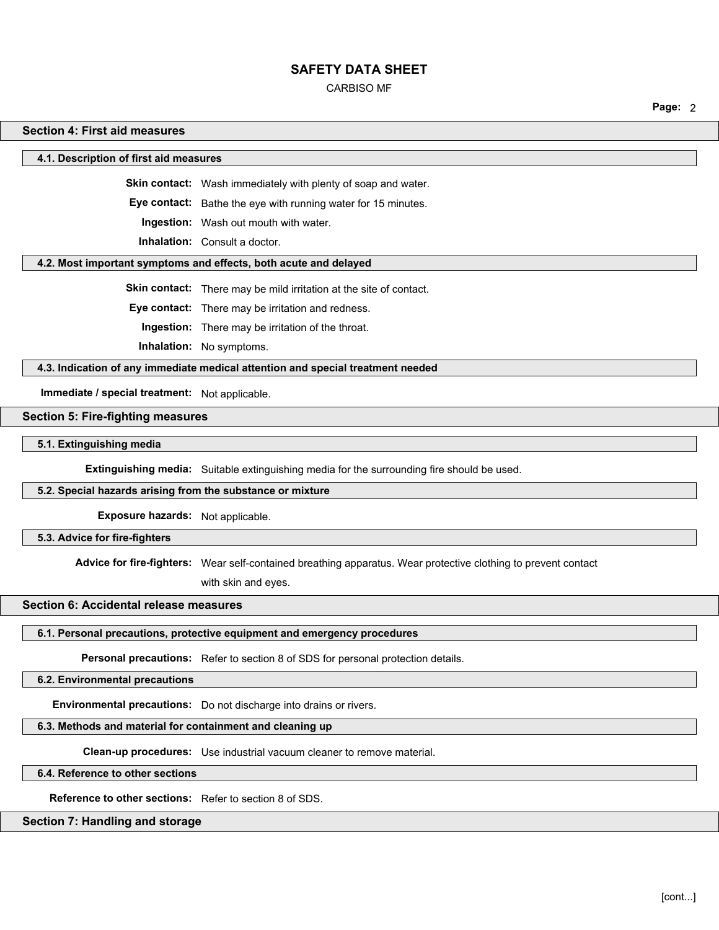CARBISO MF

**Page:** 2

### **Section 4: First aid measures**

**4.1. Description of first aid measures**

**Skin contact:** Wash immediately with plenty of soap and water.

**Eye contact:** Bathe the eye with running water for 15 minutes.

**Ingestion:** Wash out mouth with water.

**Inhalation:** Consult a doctor.

#### **4.2. Most important symptoms and effects, both acute and delayed**

**Skin contact:** There may be mild irritation at the site of contact.

**Eye contact:** There may be irritation and redness.

**Ingestion:** There may be irritation of the throat.

**Inhalation:** No symptoms.

**4.3. Indication of any immediate medical attention and special treatment needed**

**Immediate / special treatment:** Not applicable.

## **Section 5: Fire-fighting measures**

**5.1. Extinguishing media**

**Extinguishing media:** Suitable extinguishing media for the surrounding fire should be used.

## **5.2. Special hazards arising from the substance or mixture**

**Exposure hazards:** Not applicable.

**5.3. Advice for fire-fighters**

**Advice for fire-fighters:** Wear self-contained breathing apparatus. Wear protective clothing to prevent contact

with skin and eyes.

#### **Section 6: Accidental release measures**

# **6.1. Personal precautions, protective equipment and emergency procedures**

**Personal precautions:** Refer to section 8 of SDS for personal protection details.

**6.2. Environmental precautions**

**Environmental precautions:** Do not discharge into drains or rivers.

## **6.3. Methods and material for containment and cleaning up**

**Clean-up procedures:** Use industrial vacuum cleaner to remove material.

**6.4. Reference to other sections**

**Reference to other sections:** Refer to section 8 of SDS.

## **Section 7: Handling and storage**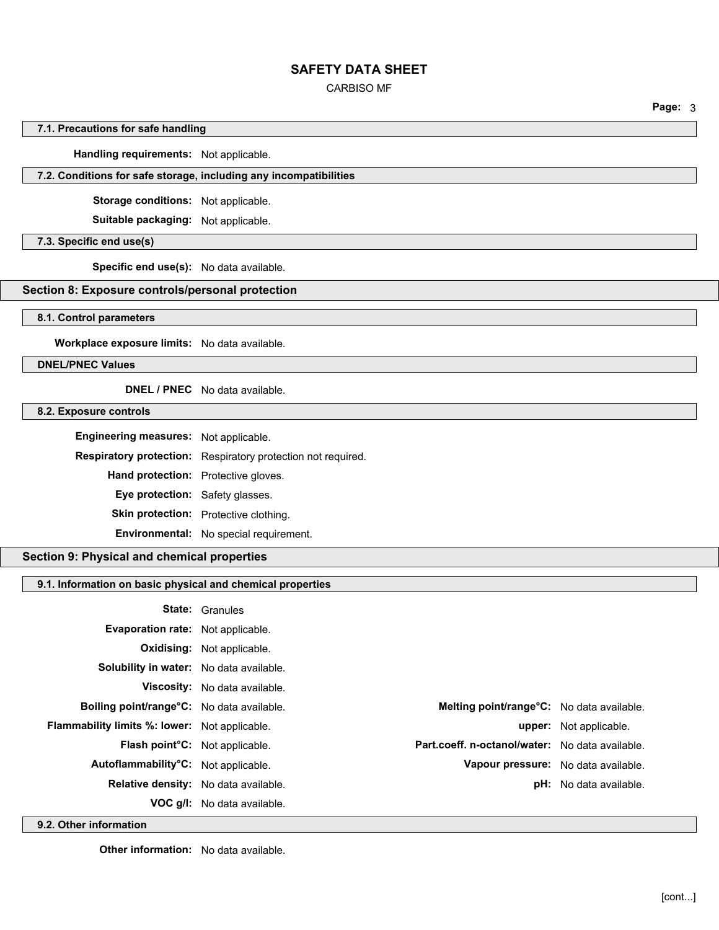## CARBISO MF

**Page:** 3

## **7.1. Precautions for safe handling**

**Handling requirements:** Not applicable.

## **7.2. Conditions for safe storage, including any incompatibilities**

**Storage conditions:** Not applicable.

**Suitable packaging:** Not applicable.

## **7.3. Specific end use(s)**

**Specific end use(s):** No data available.

# **Section 8: Exposure controls/personal protection**

### **8.1. Control parameters**

**Workplace exposure limits:** No data available.

**DNEL/PNEC Values**

## **DNEL / PNEC** No data available.

## **8.2. Exposure controls**

| Engineering measures: Not applicable. |                                                              |
|---------------------------------------|--------------------------------------------------------------|
|                                       | Respiratory protection: Respiratory protection not required. |
| Hand protection: Protective gloves.   |                                                              |
| Eye protection: Safety glasses.       |                                                              |
|                                       | <b>Skin protection:</b> Protective clothing.                 |
|                                       | Environmental: No special requirement.                       |

### **Section 9: Physical and chemical properties**

# **9.1. Information on basic physical and chemical properties**

|                                               | <b>State: Granules</b>               |                                                 |                               |
|-----------------------------------------------|--------------------------------------|-------------------------------------------------|-------------------------------|
| Evaporation rate: Not applicable.             |                                      |                                                 |                               |
|                                               | <b>Oxidising:</b> Not applicable.    |                                                 |                               |
| Solubility in water: No data available.       |                                      |                                                 |                               |
|                                               | <b>Viscosity:</b> No data available. |                                                 |                               |
| Boiling point/range°C: No data available.     |                                      | Melting point/range°C: No data available.       |                               |
| Flammability limits %: lower: Not applicable. |                                      |                                                 | upper: Not applicable.        |
| Flash point°C: Not applicable.                |                                      | Part.coeff. n-octanol/water: No data available. |                               |
| Autoflammability°C: Not applicable.           |                                      | Vapour pressure: No data available.             |                               |
| Relative density: No data available.          |                                      |                                                 | <b>pH:</b> No data available. |
|                                               | VOC g/I: No data available.          |                                                 |                               |

**9.2. Other information**

**Other information:** No data available.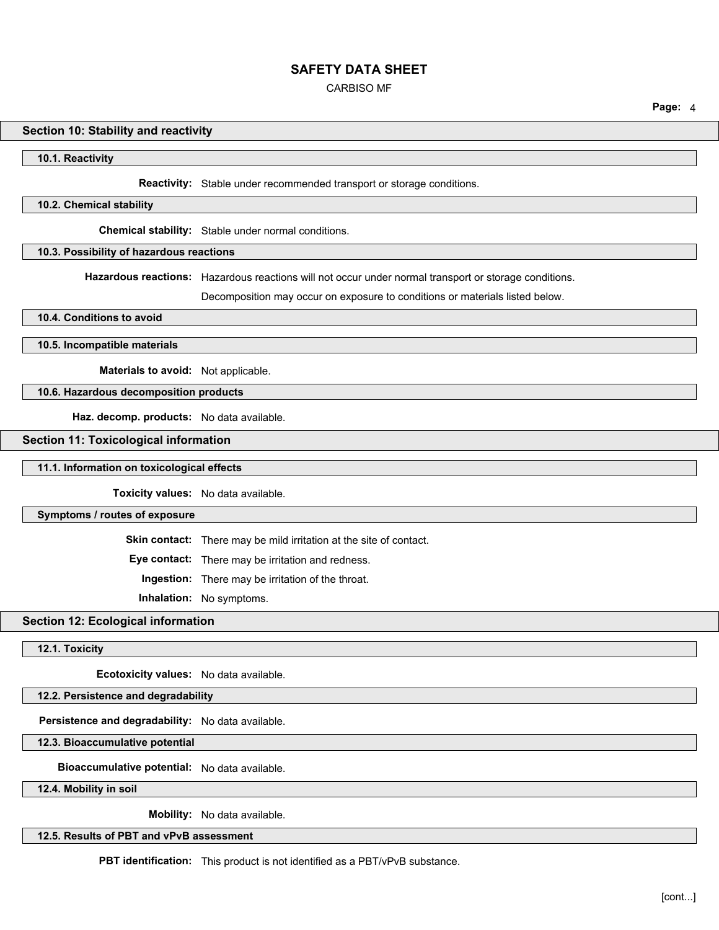CARBISO MF

**Page:** 4

# **Section 10: Stability and reactivity**

**10.1. Reactivity**

**Reactivity:** Stable under recommended transport or storage conditions.

#### **10.2. Chemical stability**

**Chemical stability:** Stable under normal conditions.

## **10.3. Possibility of hazardous reactions**

**Hazardous reactions:** Hazardous reactions will not occur under normal transport or storage conditions.

Decomposition may occur on exposure to conditions or materials listed below.

**10.4. Conditions to avoid**

**10.5. Incompatible materials**

**Materials to avoid:** Not applicable.

# **10.6. Hazardous decomposition products**

**Haz. decomp. products:** No data available.

#### **Section 11: Toxicological information**

#### **11.1. Information on toxicological effects**

**Toxicity values:** No data available.

#### **Symptoms / routes of exposure**

**Skin contact:** There may be mild irritation at the site of contact.

**Eye contact:** There may be irritation and redness.

**Ingestion:** There may be irritation of the throat.

**Inhalation:** No symptoms.

## **Section 12: Ecological information**

## **12.1. Toxicity**

**Ecotoxicity values:** No data available.

# **12.2. Persistence and degradability**

**Persistence and degradability:** No data available.

### **12.3. Bioaccumulative potential**

**Bioaccumulative potential:** No data available.

**12.4. Mobility in soil**

**Mobility:** No data available.

# **12.5. Results of PBT and vPvB assessment**

**PBT identification:** This product is not identified as a PBT/vPvB substance.